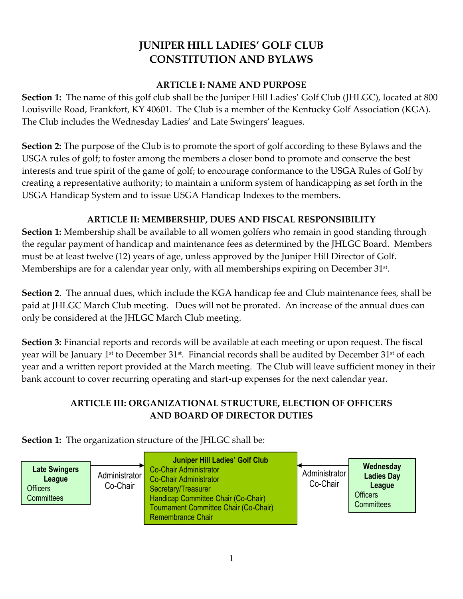# **JUNIPER HILL LADIES' GOLF CLUB CONSTITUTION AND BYLAWS**

#### **ARTICLE I: NAME AND PURPOSE**

**Section 1:** The name of this golf club shall be the Juniper Hill Ladies' Golf Club (JHLGC), located at 800 Louisville Road, Frankfort, KY 40601. The Club is a member of the Kentucky Golf Association (KGA). The Club includes the Wednesday Ladies' and Late Swingers' leagues.

**Section 2:** The purpose of the Club is to promote the sport of golf according to these Bylaws and the USGA rules of golf; to foster among the members a closer bond to promote and conserve the best interests and true spirit of the game of golf; to encourage conformance to the USGA Rules of Golf by creating a representative authority; to maintain a uniform system of handicapping as set forth in the USGA Handicap System and to issue USGA Handicap Indexes to the members.

# **ARTICLE II: MEMBERSHIP, DUES AND FISCAL RESPONSIBILITY**

**Section 1:** Membership shall be available to all women golfers who remain in good standing through the regular payment of handicap and maintenance fees as determined by the JHLGC Board. Members must be at least twelve (12) years of age, unless approved by the Juniper Hill Director of Golf. Memberships are for a calendar year only, with all memberships expiring on December 31st .

**Section 2**. The annual dues, which include the KGA handicap fee and Club maintenance fees, shall be paid at JHLGC March Club meeting.Dues will not be prorated. An increase of the annual dues can only be considered at the JHLGC March Club meeting.

**Section 3:** Financial reports and records will be available at each meeting or upon request. The fiscal year will be January 1st to December 31st. Financial records shall be audited by December 31st of each year and a written report provided at the March meeting. The Club will leave sufficient money in their bank account to cover recurring operating and start-up expenses for the next calendar year.

# **ARTICLE III: ORGANIZATIONAL STRUCTURE, ELECTION OF OFFICERS AND BOARD OF DIRECTOR DUTIES**

**Section 1:** The organization structure of the JHLGC shall be:

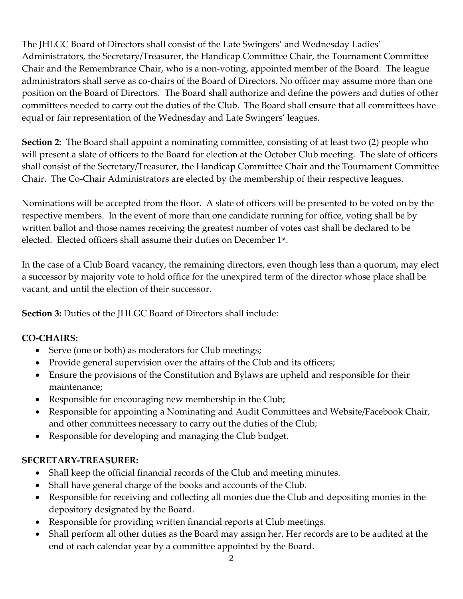The JHLGC Board of Directors shall consist of the Late Swingers' and Wednesday Ladies' Administrators, the Secretary/Treasurer, the Handicap Committee Chair, the Tournament Committee Chair and the Remembrance Chair, who is a non-voting, appointed member of the Board. The league administrators shall serve as co-chairs of the Board of Directors. No officer may assume more than one position on the Board of Directors. The Board shall authorize and define the powers and duties of other committees needed to carry out the duties of the Club. The Board shall ensure that all committees have equal or fair representation of the Wednesday and Late Swingers' leagues.

**Section 2:** The Board shall appoint a nominating committee, consisting of at least two (2) people who will present a slate of officers to the Board for election at the October Club meeting. The slate of officers shall consist of the Secretary/Treasurer, the Handicap Committee Chair and the Tournament Committee Chair. The Co-Chair Administrators are elected by the membership of their respective leagues.

Nominations will be accepted from the floor. A slate of officers will be presented to be voted on by the respective members. In the event of more than one candidate running for office, voting shall be by written ballot and those names receiving the greatest number of votes cast shall be declared to be elected. Elected officers shall assume their duties on December  $1<sup>st</sup>$ .

In the case of a Club Board vacancy, the remaining directors, even though less than a quorum, may elect a successor by majority vote to hold office for the unexpired term of the director whose place shall be vacant, and until the election of their successor.

**Section 3:** Duties of the JHLGC Board of Directors shall include:

## **CO-CHAIRS:**

- Serve (one or both) as moderators for Club meetings;
- Provide general supervision over the affairs of the Club and its officers;
- Ensure the provisions of the Constitution and Bylaws are upheld and responsible for their maintenance;
- Responsible for encouraging new membership in the Club;
- Responsible for appointing a Nominating and Audit Committees and Website/Facebook Chair, and other committees necessary to carry out the duties of the Club;
- Responsible for developing and managing the Club budget.

## **SECRETARY-TREASURER:**

- Shall keep the official financial records of the Club and meeting minutes.
- Shall have general charge of the books and accounts of the Club.
- Responsible for receiving and collecting all monies due the Club and depositing monies in the depository designated by the Board.
- Responsible for providing written financial reports at Club meetings.
- Shall perform all other duties as the Board may assign her. Her records are to be audited at the end of each calendar year by a committee appointed by the Board.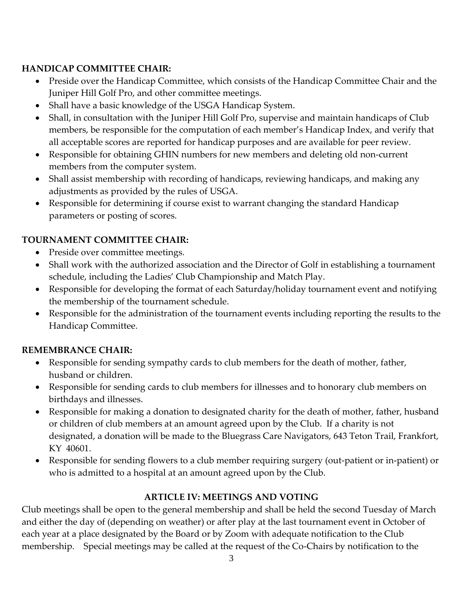# **HANDICAP COMMITTEE CHAIR:**

- Preside over the Handicap Committee, which consists of the Handicap Committee Chair and the Juniper Hill Golf Pro, and other committee meetings.
- Shall have a basic knowledge of the USGA Handicap System.
- Shall, in consultation with the Juniper Hill Golf Pro, supervise and maintain handicaps of Club members, be responsible for the computation of each member's Handicap Index, and verify that all acceptable scores are reported for handicap purposes and are available for peer review.
- Responsible for obtaining GHIN numbers for new members and deleting old non-current members from the computer system.
- Shall assist membership with recording of handicaps, reviewing handicaps, and making any adjustments as provided by the rules of USGA.
- Responsible for determining if course exist to warrant changing the standard Handicap parameters or posting of scores.

# **TOURNAMENT COMMITTEE CHAIR:**

- Preside over committee meetings.
- Shall work with the authorized association and the Director of Golf in establishing a tournament schedule, including the Ladies' Club Championship and Match Play.
- Responsible for developing the format of each Saturday/holiday tournament event and notifying the membership of the tournament schedule.
- Responsible for the administration of the tournament events including reporting the results to the Handicap Committee.

## **REMEMBRANCE CHAIR:**

- Responsible for sending sympathy cards to club members for the death of mother, father, husband or children.
- Responsible for sending cards to club members for illnesses and to honorary club members on birthdays and illnesses.
- Responsible for making a donation to designated charity for the death of mother, father, husband or children of club members at an amount agreed upon by the Club. If a charity is not designated, a donation will be made to the Bluegrass Care Navigators, 643 Teton Trail, Frankfort, KY 40601.
- Responsible for sending flowers to a club member requiring surgery (out-patient or in-patient) or who is admitted to a hospital at an amount agreed upon by the Club.

# **ARTICLE IV: MEETINGS AND VOTING**

Club meetings shall be open to the general membership and shall be held the second Tuesday of March and either the day of (depending on weather) or after play at the last tournament event in October of each year at a place designated by the Board or by Zoom with adequate notification to the Club membership. Special meetings may be called at the request of the Co-Chairs by notification to the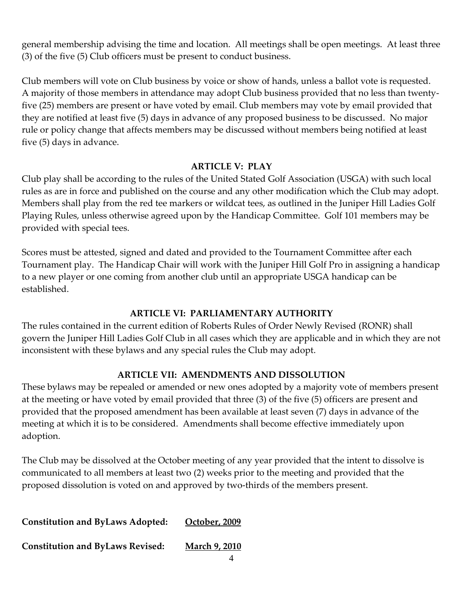general membership advising the time and location. All meetings shall be open meetings. At least three (3) of the five (5) Club officers must be present to conduct business.

Club members will vote on Club business by voice or show of hands, unless a ballot vote is requested. A majority of those members in attendance may adopt Club business provided that no less than twentyfive (25) members are present or have voted by email. Club members may vote by email provided that they are notified at least five (5) days in advance of any proposed business to be discussed. No major rule or policy change that affects members may be discussed without members being notified at least five (5) days in advance.

#### **ARTICLE V: PLAY**

Club play shall be according to the rules of the United Stated Golf Association (USGA) with such local rules as are in force and published on the course and any other modification which the Club may adopt. Members shall play from the red tee markers or wildcat tees, as outlined in the Juniper Hill Ladies Golf Playing Rules, unless otherwise agreed upon by the Handicap Committee. Golf 101 members may be provided with special tees.

Scores must be attested, signed and dated and provided to the Tournament Committee after each Tournament play. The Handicap Chair will work with the Juniper Hill Golf Pro in assigning a handicap to a new player or one coming from another club until an appropriate USGA handicap can be established.

## **ARTICLE VI: PARLIAMENTARY AUTHORITY**

The rules contained in the current edition of Roberts Rules of Order Newly Revised (RONR) shall govern the Juniper Hill Ladies Golf Club in all cases which they are applicable and in which they are not inconsistent with these bylaws and any special rules the Club may adopt.

## **ARTICLE VII: AMENDMENTS AND DISSOLUTION**

These bylaws may be repealed or amended or new ones adopted by a majority vote of members present at the meeting or have voted by email provided that three (3) of the five (5) officers are present and provided that the proposed amendment has been available at least seven (7) days in advance of the meeting at which it is to be considered. Amendments shall become effective immediately upon adoption.

The Club may be dissolved at the October meeting of any year provided that the intent to dissolve is communicated to all members at least two (2) weeks prior to the meeting and provided that the proposed dissolution is voted on and approved by two-thirds of the members present.

| <b>Constitution and ByLaws Adopted:</b> | October, 2009        |
|-----------------------------------------|----------------------|
| <b>Constitution and ByLaws Revised:</b> | <b>March 9, 2010</b> |